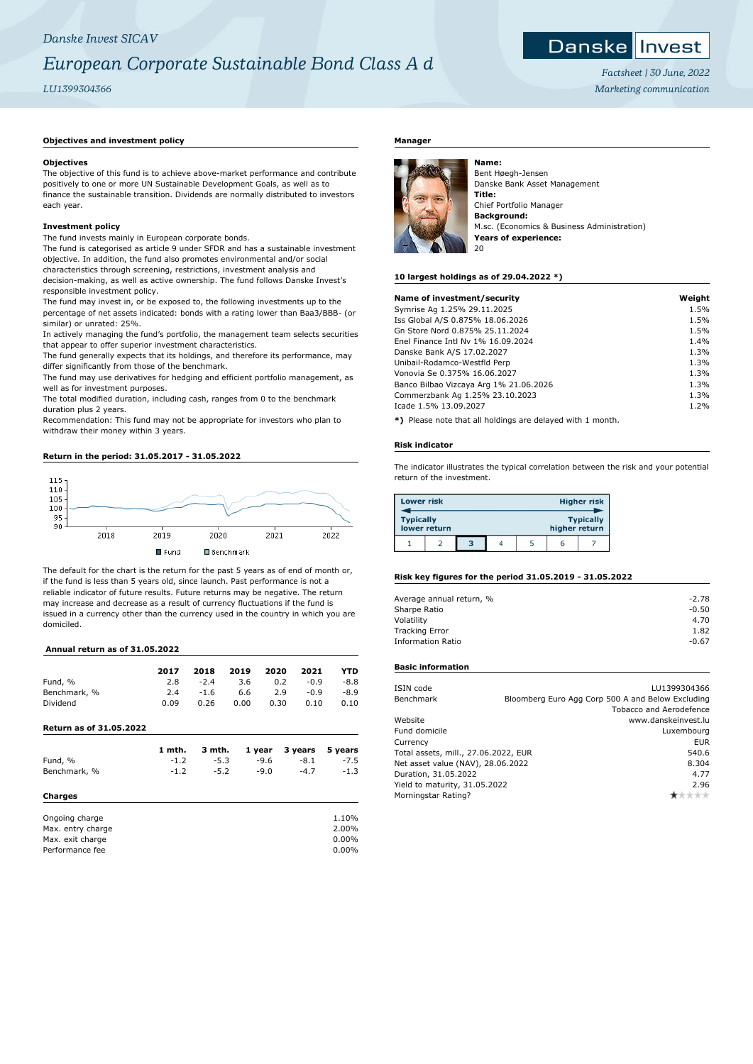## *Danske Invest SICAV*

## *European Corporate Sustainable Bond Class A d*

*LU1399304366*

### Danske | Invest *Factsheet | 30 June, 2022*

*Marketing communication*

#### **Objectives and investment policy**

#### **Objectives**

The objective of this fund is to achieve above-market performance and contribute positively to one or more UN Sustainable Development Goals, as well as to finance the sustainable transition. Dividends are normally distributed to investors each year.

#### **Investment policy**

The fund invests mainly in European corporate bonds.

The fund is categorised as article 9 under SFDR and has a sustainable investment objective. In addition, the fund also promotes environmental and/or social characteristics through screening, restrictions, investment analysis and

decision-making, as well as active ownership. The fund follows Danske Invest's responsible investment policy.

The fund may invest in, or be exposed to, the following investments up to the percentage of net assets indicated: bonds with a rating lower than Baa3/BBB- (or similar) or unrated: 25%.

In actively managing the fund's portfolio, the management team selects securities that appear to offer superior investment characteristics.

The fund generally expects that its holdings, and therefore its performance, may differ significantly from those of the benchmark.

The fund may use derivatives for hedging and efficient portfolio management, as well as for investment purposes.

The total modified duration, including cash, ranges from 0 to the benchmark duration plus 2 years.

Recommendation: This fund may not be appropriate for investors who plan to withdraw their money within 3 years.

#### **Return in the period: 31.05.2017 - 31.05.2022**



The default for the chart is the return for the past 5 years as of end of month or, if the fund is less than 5 years old, since launch. Past performance is not a reliable indicator of future results. Future returns may be negative. The return may increase and decrease as a result of currency fluctuations if the fund is issued in a currency other than the currency used in the country in which you are domiciled.

#### **Annual return as of 31.05.2022**

|                                | 2017   | 2018   | 2019 | 2020   | 2021    | YTD     |
|--------------------------------|--------|--------|------|--------|---------|---------|
| Fund, %                        | 2.8    | $-2.4$ | 3.6  | 0.2    | $-0.9$  | $-8.8$  |
| Benchmark, %                   | 2.4    | $-1.6$ | 6.6  | 2.9    | $-0.9$  | $-8.9$  |
| Dividend                       | 0.09   | 0.26   | 0.00 | 0.30   | 0.10    | 0.10    |
| <b>Return as of 31.05.2022</b> |        |        |      |        |         |         |
|                                | 1 mth. | 3 mth. |      | 1 year | 3 years | 5 years |
| Fund, %                        | $-1.2$ | $-5.3$ |      | $-9.6$ | $-8.1$  | $-7.5$  |
| Benchmark, %                   | $-1.2$ | $-5.2$ |      | $-9.0$ | $-4.7$  | $-1.3$  |
| Charges                        |        |        |      |        |         |         |
| Ongoing charge                 |        |        |      |        |         | 1.10%   |
| Max. entry charge              |        |        |      |        |         | 2.00%   |
| Max. exit charge               |        |        |      |        |         | 0.00%   |
| Performance fee                |        |        |      |        |         | 0.00%   |

#### **Manager**



Bent Høegh-Jensen Danske Bank Asset Management **Title:** Chief Portfolio Manager **Background:** M.sc. (Economics & Business Administration) **Years of experience:** 20

#### **10 largest holdings as of 29.04.2022 \*)**

| Name of investment/security            | Weight |
|----------------------------------------|--------|
| Symrise Ag 1.25% 29.11.2025            | 1.5%   |
| Iss Global A/S 0.875% 18.06.2026       | 1.5%   |
| Gn Store Nord 0.875% 25.11.2024        | 1.5%   |
| Enel Finance Intl Ny 1% 16.09.2024     | 1.4%   |
| Danske Bank A/S 17.02.2027             | 1.3%   |
| Unibail-Rodamco-Westfld Perp           | 1.3%   |
| Vonovia Se 0.375% 16.06.2027           | 1.3%   |
| Banco Bilbao Vizcaya Arg 1% 21.06.2026 | 1.3%   |
| Commerzbank Ag 1.25% 23.10.2023        | 1.3%   |
| Icade 1.5% 13.09.2027                  | 1.2%   |
|                                        |        |

**\*)** Please note that all holdings are delayed with 1 month.

#### **Risk indicator**

The indicator illustrates the typical correlation between the risk and your potential return of the investment.

| <b>Lower risk</b> |              |   |  |               | <b>Higher risk</b> |
|-------------------|--------------|---|--|---------------|--------------------|
| <b>Typically</b>  | lower return |   |  | higher return | <b>Typically</b>   |
|                   |              | 3 |  | h             |                    |

#### **Risk key figures for the period 31.05.2019 - 31.05.2022**

| $-2.78$ |
|---------|
| $-0.50$ |
| 4.70    |
| 1.82    |
| $-0.67$ |
|         |

#### **Basic information**

| ISIN code                            | LU1399304366                                      |
|--------------------------------------|---------------------------------------------------|
| Benchmark                            | Bloomberg Euro Agg Corp 500 A and Below Excluding |
|                                      | Tobacco and Aerodefence                           |
| Website                              | www.danskeinvest.lu                               |
| Fund domicile                        | Luxembourg                                        |
| Currency                             | EUR                                               |
| Total assets, mill., 27.06.2022, EUR | 540.6                                             |
| Net asset value (NAV), 28.06.2022    | 8.304                                             |
| Duration, 31.05.2022                 | 4.77                                              |
| Yield to maturity, 31.05.2022        | 2.96                                              |
| Morningstar Rating?                  |                                                   |
|                                      |                                                   |